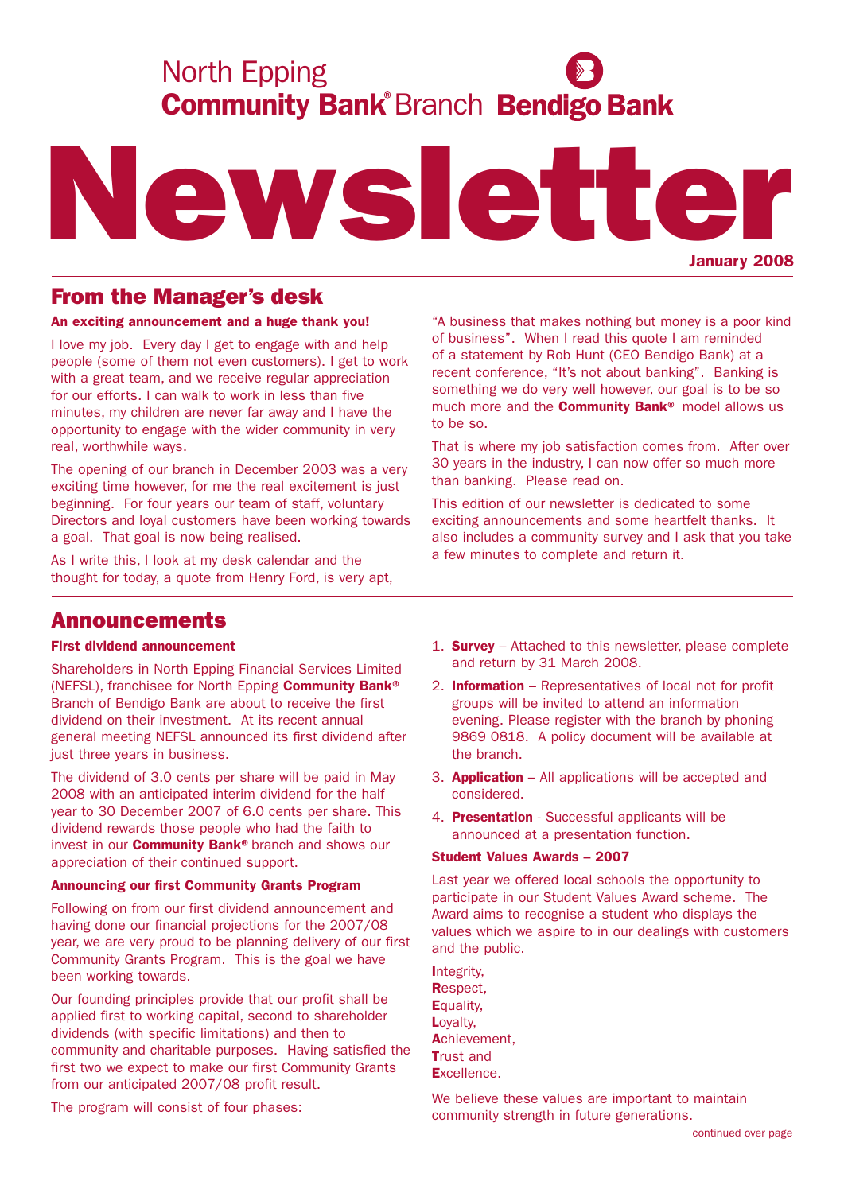# **Community Bank Branch Bendigo Bank** North Epping



# From the Manager's desk

## An exciting announcement and a huge thank you!

I love my job. Every day I get to engage with and help people (some of them not even customers). I get to work with a great team, and we receive regular appreciation for our efforts. I can walk to work in less than five minutes, my children are never far away and I have the opportunity to engage with the wider community in very real, worthwhile ways.

The opening of our branch in December 2003 was a very exciting time however, for me the real excitement is just beginning. For four years our team of staff, voluntary Directors and loyal customers have been working towards a goal. That goal is now being realised.

As I write this, I look at my desk calendar and the thought for today, a quote from Henry Ford, is very apt,

"A business that makes nothing but money is a poor kind of business". When I read this quote I am reminded of a statement by Rob Hunt (CEO Bendigo Bank) at a recent conference, "It's not about banking". Banking is something we do very well however, our goal is to be so much more and the **Community Bank®** model allows us to be so.

That is where my job satisfaction comes from. After over 30 years in the industry, I can now offer so much more than banking. Please read on.

This edition of our newsletter is dedicated to some exciting announcements and some heartfelt thanks. It also includes a community survey and I ask that you take a few minutes to complete and return it.

## Announcements

## First dividend announcement

Shareholders in North Epping Financial Services Limited (NEFSL), franchisee for North Epping Community Bank® Branch of Bendigo Bank are about to receive the first dividend on their investment. At its recent annual general meeting NEFSL announced its first dividend after just three years in business.

The dividend of 3.0 cents per share will be paid in May 2008 with an anticipated interim dividend for the half year to 30 December 2007 of 6.0 cents per share. This dividend rewards those people who had the faith to invest in our **Community Bank®** branch and shows our appreciation of their continued support.

## Announcing our first Community Grants Program

Following on from our first dividend announcement and having done our financial projections for the 2007/08 year, we are very proud to be planning delivery of our first Community Grants Program. This is the goal we have been working towards.

Our founding principles provide that our profit shall be applied first to working capital, second to shareholder dividends (with specific limitations) and then to community and charitable purposes. Having satisfied the first two we expect to make our first Community Grants from our anticipated 2007/08 profit result.

The program will consist of four phases:

- 1. **Survey** Attached to this newsletter, please complete and return by 31 March 2008.
- 2. Information Representatives of local not for profit groups will be invited to attend an information evening. Please register with the branch by phoning 9869 0818. A policy document will be available at the branch.
- 3. Application All applications will be accepted and considered.
- 4. Presentation Successful applicants will be announced at a presentation function.

## Student Values Awards – 2007

Last year we offered local schools the opportunity to participate in our Student Values Award scheme. The Award aims to recognise a student who displays the values which we aspire to in our dealings with customers and the public.

| Integrity.        |
|-------------------|
| <b>Respect.</b>   |
| <b>E</b> quality. |
| Loyalty,          |
| Achievement,      |
| <b>Trust and</b>  |
| Excellence.       |

We believe these values are important to maintain community strength in future generations.